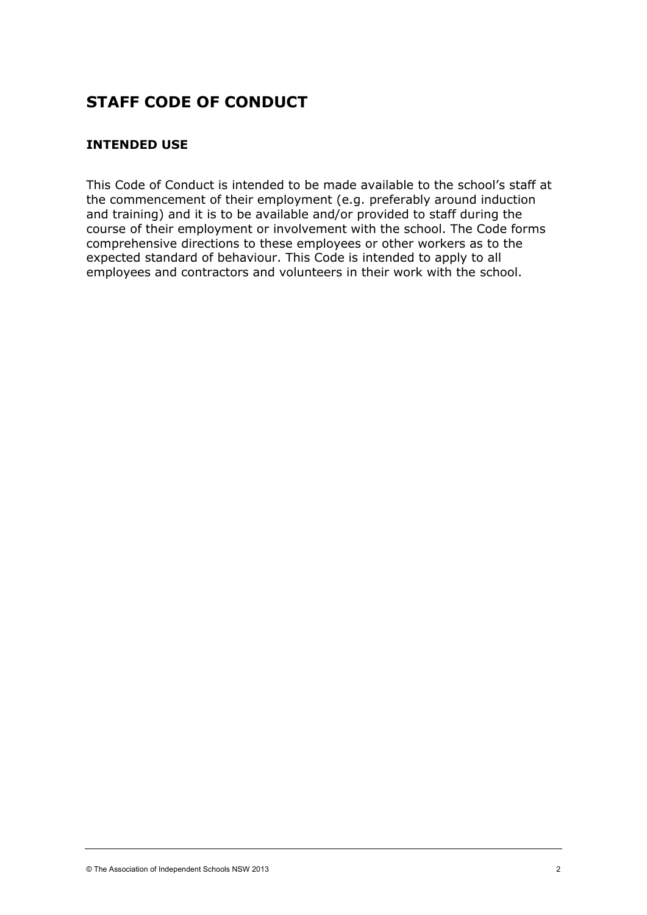# **STAFF CODE OF CONDUCT**

# **INTENDED USE**

This Code of Conduct is intended to be made available to the school's staff at the commencement of their employment (e.g. preferably around induction and training) and it is to be available and/or provided to staff during the course of their employment or involvement with the school. The Code forms comprehensive directions to these employees or other workers as to the expected standard of behaviour. This Code is intended to apply to all employees and contractors and volunteers in their work with the school.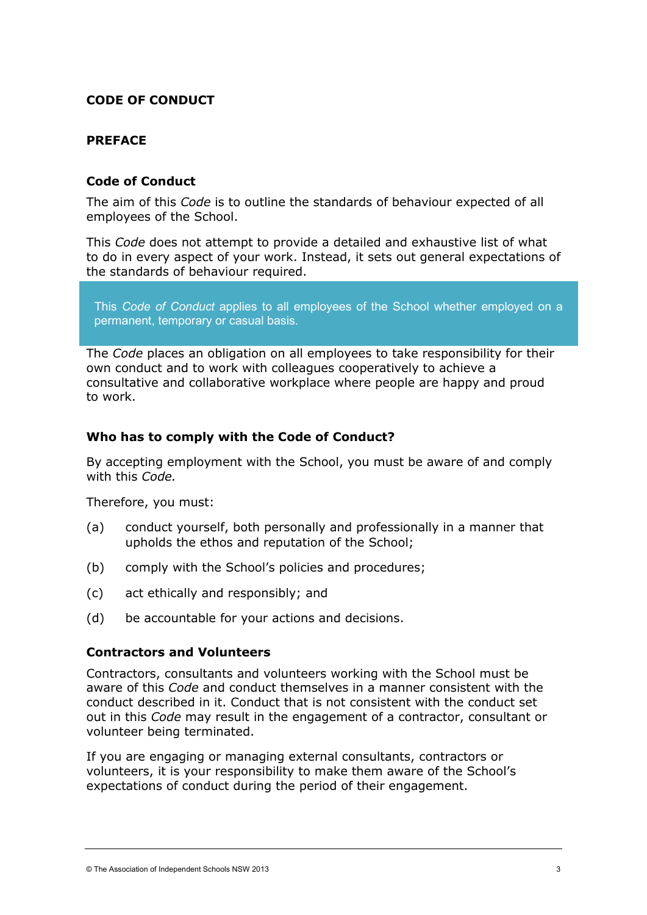## **CODE OF CONDUCT**

#### **PREFACE**

#### **Code of Conduct**

The aim of this *Code* is to outline the standards of behaviour expected of all employees of the School.

This *Code* does not attempt to provide a detailed and exhaustive list of what to do in every aspect of your work. Instead, it sets out general expectations of the standards of behaviour required.

This *Code of Conduct* applies to all employees of the School whether employed on a permanent, temporary or casual basis.

The *Code* places an obligation on all employees to take responsibility for their own conduct and to work with colleagues cooperatively to achieve a consultative and collaborative workplace where people are happy and proud to work.

#### **Who has to comply with the Code of Conduct?**

By accepting employment with the School, you must be aware of and comply with this *Code.*

Therefore, you must:

- (a) conduct yourself, both personally and professionally in a manner that upholds the ethos and reputation of the School;
- (b) comply with the School's policies and procedures;
- (c) act ethically and responsibly; and
- (d) be accountable for your actions and decisions.

#### **Contractors and Volunteers**

Contractors, consultants and volunteers working with the School must be aware of this *Code* and conduct themselves in a manner consistent with the conduct described in it. Conduct that is not consistent with the conduct set out in this *Code* may result in the engagement of a contractor, consultant or volunteer being terminated.

If you are engaging or managing external consultants, contractors or volunteers, it is your responsibility to make them aware of the School's expectations of conduct during the period of their engagement.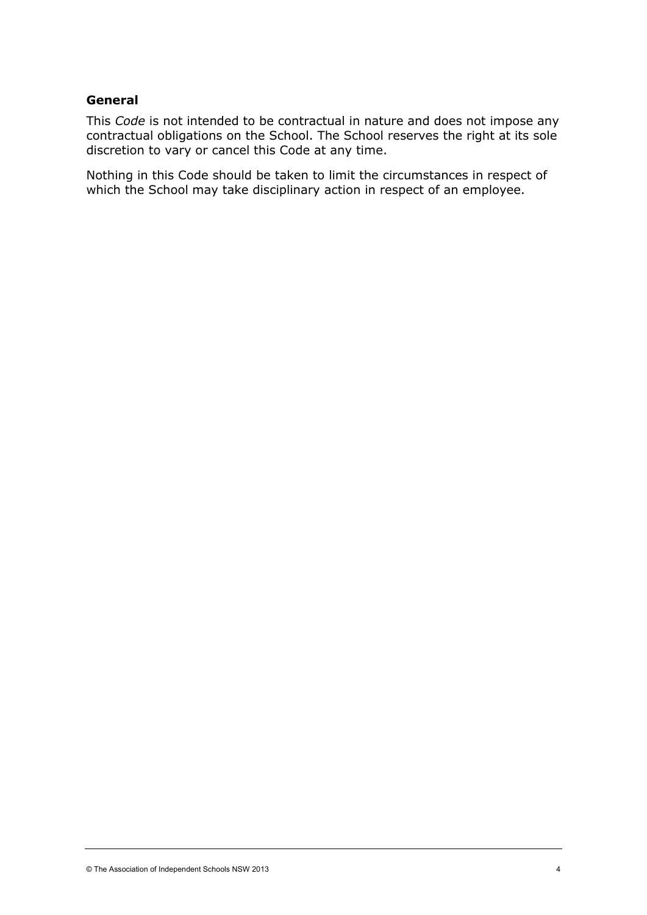#### **General**

This *Code* is not intended to be contractual in nature and does not impose any contractual obligations on the School. The School reserves the right at its sole discretion to vary or cancel this Code at any time.

Nothing in this Code should be taken to limit the circumstances in respect of which the School may take disciplinary action in respect of an employee.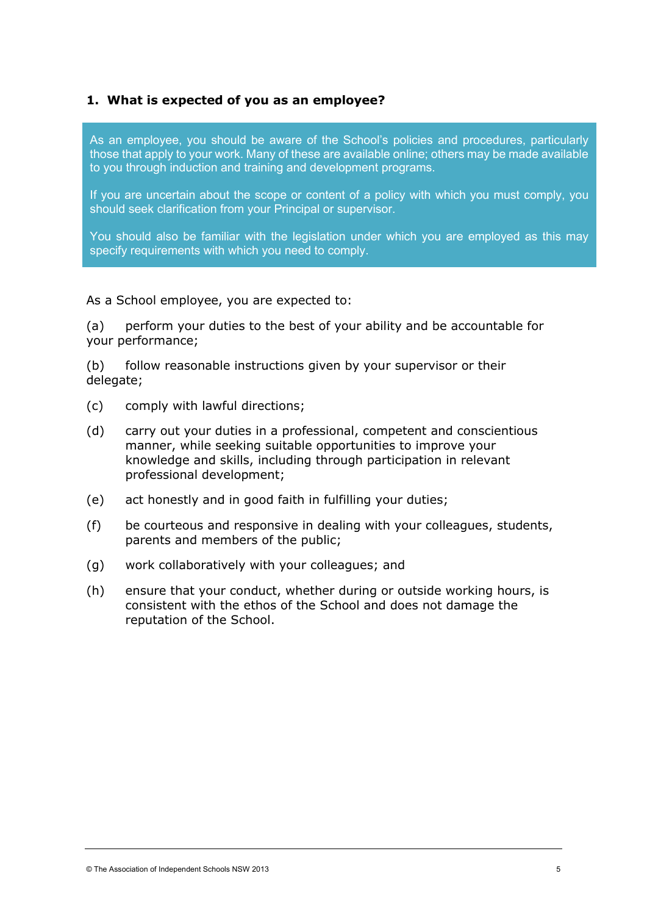#### **1. What is expected of you as an employee?**

As an employee, you should be aware of the School's policies and procedures, particularly those that apply to your work. Many of these are available online; others may be made available to you through induction and training and development programs.

If you are uncertain about the scope or content of a policy with which you must comply, you should seek clarification from your Principal or supervisor.

You should also be familiar with the legislation under which you are employed as this may specify requirements with which you need to comply.

#### As a School employee, you are expected to:

(a) perform your duties to the best of your ability and be accountable for your performance;

(b) follow reasonable instructions given by your supervisor or their delegate;

- (c) comply with lawful directions;
- (d) carry out your duties in a professional, competent and conscientious manner, while seeking suitable opportunities to improve your knowledge and skills, including through participation in relevant professional development;
- (e) act honestly and in good faith in fulfilling your duties;
- (f) be courteous and responsive in dealing with your colleagues, students, parents and members of the public;
- (g) work collaboratively with your colleagues; and
- (h) ensure that your conduct, whether during or outside working hours, is consistent with the ethos of the School and does not damage the reputation of the School.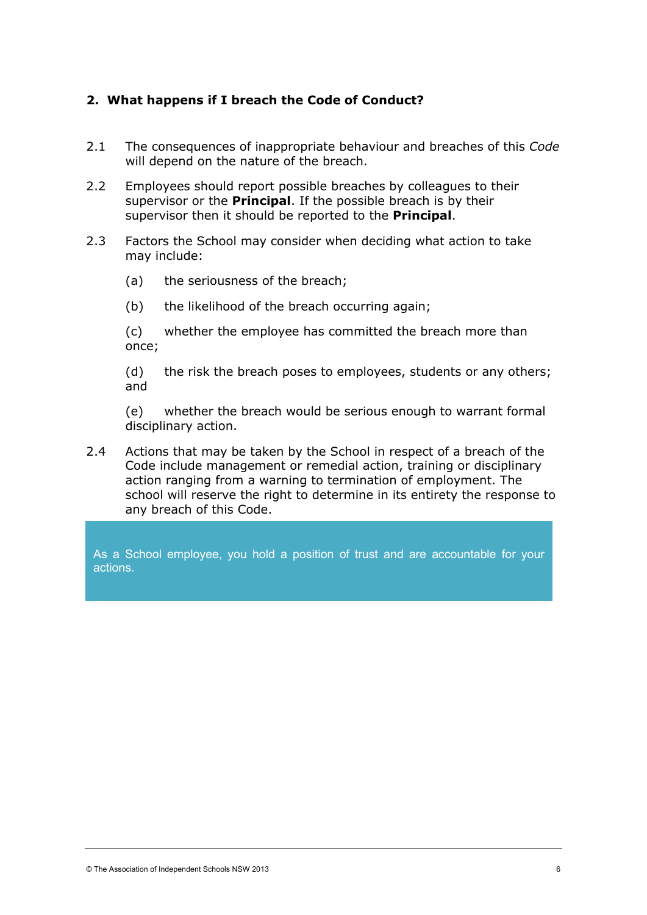# **2. What happens if I breach the Code of Conduct?**

- 2.1 The consequences of inappropriate behaviour and breaches of this *Code* will depend on the nature of the breach.
- 2.2 Employees should report possible breaches by colleagues to their supervisor or the **Principal**. If the possible breach is by their supervisor then it should be reported to the **Principal**.
- 2.3 Factors the School may consider when deciding what action to take may include:
	- (a) the seriousness of the breach;
	- (b) the likelihood of the breach occurring again;

(c) whether the employee has committed the breach more than once;

(d) the risk the breach poses to employees, students or any others; and

(e) whether the breach would be serious enough to warrant formal disciplinary action.

2.4 Actions that may be taken by the School in respect of a breach of the Code include management or remedial action, training or disciplinary action ranging from a warning to termination of employment. The school will reserve the right to determine in its entirety the response to any breach of this Code.

As a School employee, you hold a position of trust and are accountable for your actions.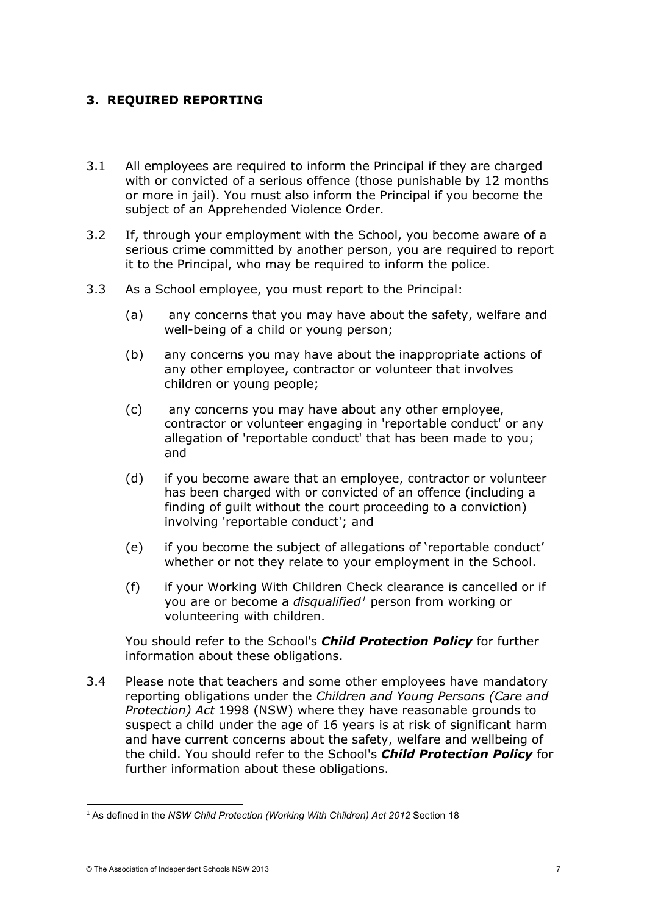# **3. REQUIRED REPORTING**

- 3.1 All employees are required to inform the Principal if they are charged with or convicted of a serious offence (those punishable by 12 months or more in jail). You must also inform the Principal if you become the subject of an Apprehended Violence Order.
- 3.2 If, through your employment with the School, you become aware of a serious crime committed by another person, you are required to report it to the Principal, who may be required to inform the police.
- 3.3 As a School employee, you must report to the Principal:
	- (a) any concerns that you may have about the safety, welfare and well-being of a child or young person;
	- (b) any concerns you may have about the inappropriate actions of any other employee, contractor or volunteer that involves children or young people;
	- (c) any concerns you may have about any other employee, contractor or volunteer engaging in 'reportable conduct' or any allegation of 'reportable conduct' that has been made to you; and
	- (d) if you become aware that an employee, contractor or volunteer has been charged with or convicted of an offence (including a finding of guilt without the court proceeding to a conviction) involving 'reportable conduct'; and
	- (e) if you become the subject of allegations of 'reportable conduct' whether or not they relate to your employment in the School.
	- (f) if your Working With Children Check clearance is cancelled or if you are or become a *disqualified[1](#page-5-0)* person from working or volunteering with children.

You should refer to the School's *Child Protection Policy* for further information about these obligations.

3.4 Please note that teachers and some other employees have mandatory reporting obligations under the *Children and Young Persons (Care and Protection) Act* 1998 (NSW) where they have reasonable grounds to suspect a child under the age of 16 years is at risk of significant harm and have current concerns about the safety, welfare and wellbeing of the child. You should refer to the School's *Child Protection Policy* for further information about these obligations.

<span id="page-5-0"></span><sup>&</sup>lt;sup>1</sup> As defined in the *NSW Child Protection (Working With Children) Act 2012* Section 18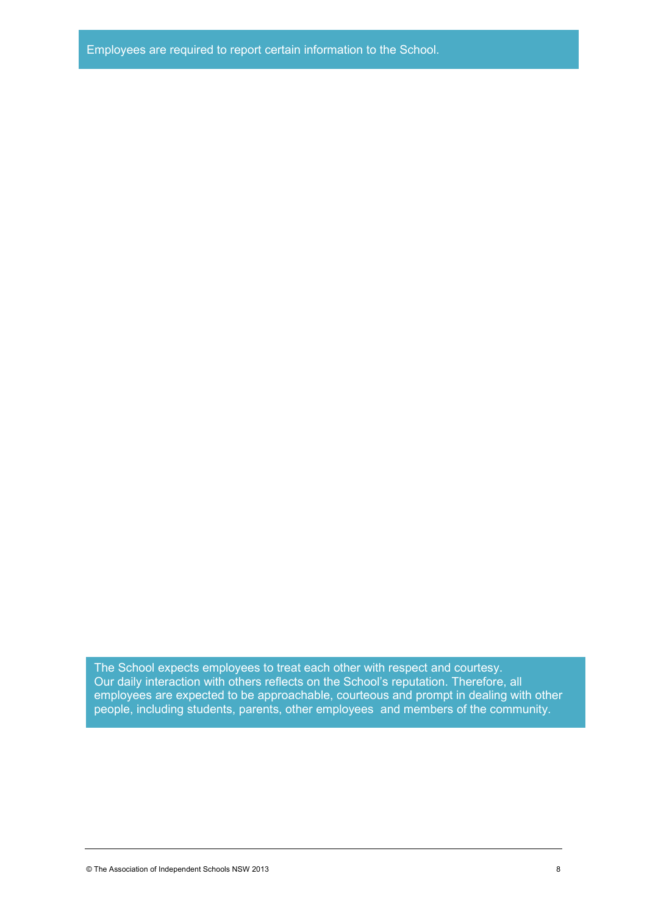The School expects employees to treat each other with respect and courtesy. Our daily interaction with others reflects on the School's reputation. Therefore, all employees are expected to be approachable, courteous and prompt in dealing with other people, including students, parents, other employees and members of the community.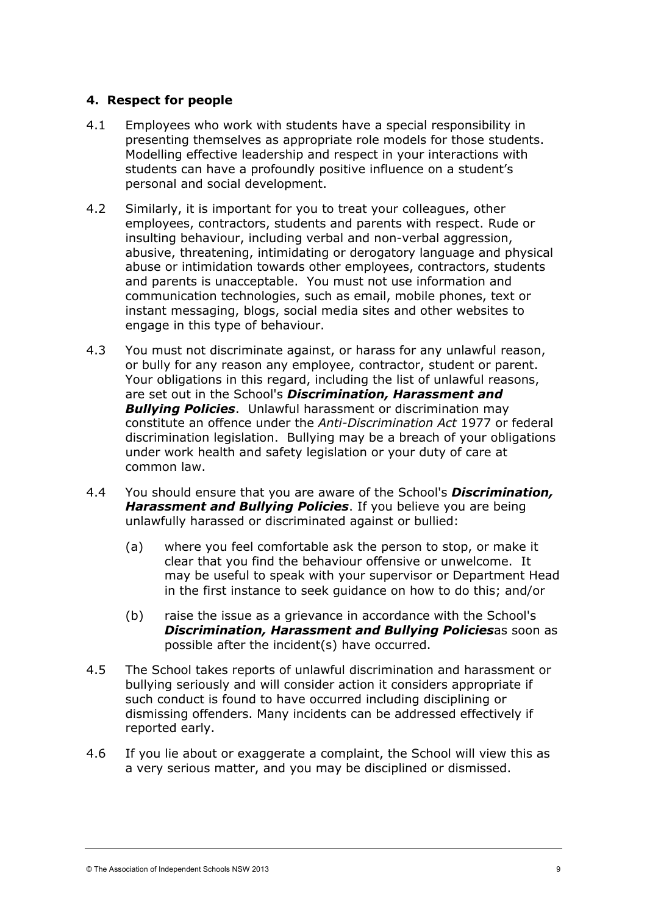## **4. Respect for people**

- 4.1 Employees who work with students have a special responsibility in presenting themselves as appropriate role models for those students. Modelling effective leadership and respect in your interactions with students can have a profoundly positive influence on a student's personal and social development.
- 4.2 Similarly, it is important for you to treat your colleagues, other employees, contractors, students and parents with respect. Rude or insulting behaviour, including verbal and non-verbal aggression, abusive, threatening, intimidating or derogatory language and physical abuse or intimidation towards other employees, contractors, students and parents is unacceptable. You must not use information and communication technologies, such as email, mobile phones, text or instant messaging, blogs, social media sites and other websites to engage in this type of behaviour.
- 4.3 You must not discriminate against, or harass for any unlawful reason, or bully for any reason any employee, contractor, student or parent. Your obligations in this regard, including the list of unlawful reasons, are set out in the School's *Discrimination, Harassment and Bullying Policies*. Unlawful harassment or discrimination may constitute an offence under the *[Anti-Discrimination Act](http://www.legislation.nsw.gov.au/scanview/inforce/s/1/?TITLE=%22Anti-Discrimination%20Act%201977%20No%2048%22&nohits=y48)* 1977 or federal discrimination legislation. Bullying may be a breach of your obligations under work health and safety legislation or your duty of care at common law.
- 4.4 You should ensure that you are aware of the School's *Discrimination, Harassment and Bullying Policies*. If you believe you are being unlawfully harassed or discriminated against or bullied:
	- (a) where you feel comfortable ask the person to stop, or make it clear that you find the behaviour offensive or unwelcome. It may be useful to speak with your supervisor or Department Head in the first instance to seek guidance on how to do this; and/or
	- (b) raise the issue as a grievance in accordance with the School's *Discrimination, Harassment and Bullying Policies*as soon as possible after the incident(s) have occurred.
- 4.5 The School takes reports of unlawful discrimination and harassment or bullying seriously and will consider action it considers appropriate if such conduct is found to have occurred including disciplining or dismissing offenders. Many incidents can be addressed effectively if reported early.
- 4.6 If you lie about or exaggerate a complaint, the School will view this as a very serious matter, and you may be disciplined or dismissed.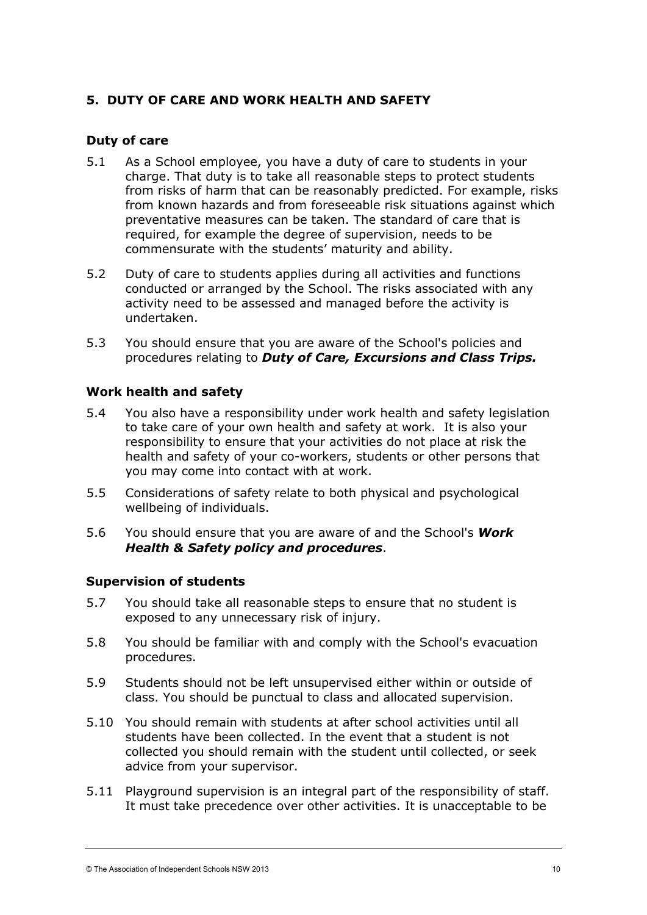# **5. DUTY OF CARE AND WORK HEALTH AND SAFETY**

## **Duty of care**

- 5.1 As a School employee, you have a duty of care to students in your charge. That duty is to take all reasonable steps to protect students from risks of harm that can be reasonably predicted. For example, risks from known hazards and from foreseeable risk situations against which preventative measures can be taken. The standard of care that is required, for example the degree of supervision, needs to be commensurate with the students' maturity and ability.
- 5.2 Duty of care to students applies during all activities and functions conducted or arranged by the School. The risks associated with any activity need to be assessed and managed before the activity is undertaken.
- 5.3 You should ensure that you are aware of the School's policies and procedures relating to *Duty of Care, Excursions and Class Trips.*

## **Work health and safety**

- 5.4 You also have a responsibility under work health and safety legislation to take care of your own health and safety at work. It is also your responsibility to ensure that your activities do not place at risk the health and safety of your co-workers, students or other persons that you may come into contact with at work.
- 5.5 Considerations of safety relate to both physical and psychological wellbeing of individuals.
- 5.6 You should ensure that you are aware of and the School's *Work Health & Safety policy and procedures*.

## **Supervision of students**

- 5.7 You should take all reasonable steps to ensure that no student is exposed to any unnecessary risk of injury.
- 5.8 You should be familiar with and comply with the School's evacuation procedures.
- 5.9 Students should not be left unsupervised either within or outside of class. You should be punctual to class and allocated supervision.
- 5.10 You should remain with students at after school activities until all students have been collected. In the event that a student is not collected you should remain with the student until collected, or seek advice from your supervisor.
- 5.11 Playground supervision is an integral part of the responsibility of staff. It must take precedence over other activities. It is unacceptable to be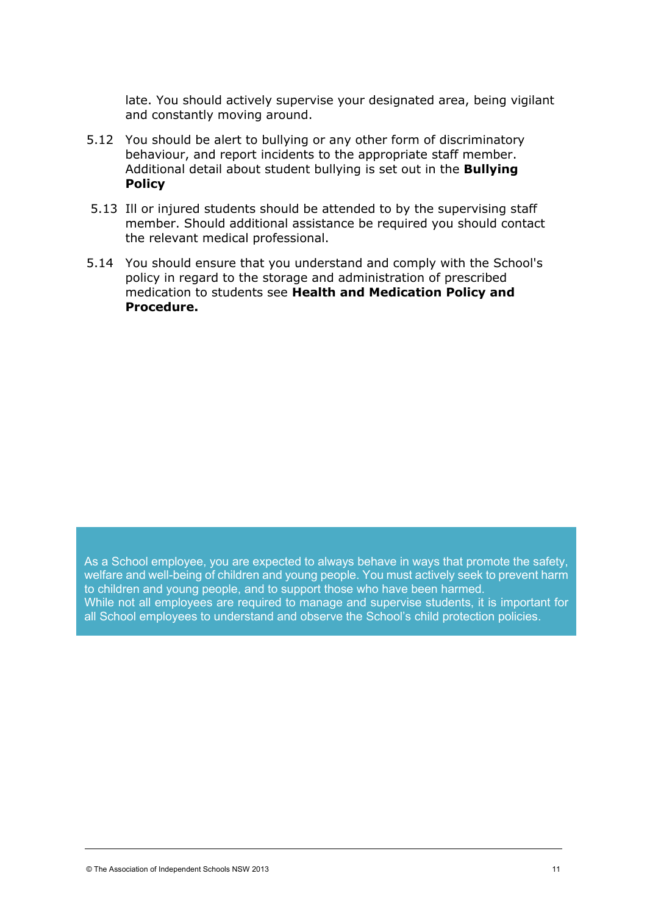late. You should actively supervise your designated area, being vigilant and constantly moving around.

- 5.12 You should be alert to bullying or any other form of discriminatory behaviour, and report incidents to the appropriate staff member. Additional detail about student bullying is set out in the **Bullying Policy**
- 5.13 Ill or injured students should be attended to by the supervising staff member. Should additional assistance be required you should contact the relevant medical professional.
- 5.14 You should ensure that you understand and comply with the School's policy in regard to the storage and administration of prescribed medication to students see **Health and Medication Policy and Procedure.**

As a School employee, you are expected to always behave in ways that promote the safety, welfare and well-being of children and young people. You must actively seek to prevent harm to children and young people, and to support those who have been harmed. While not all employees are required to manage and supervise students, it is important for all School employees to understand and observe the [School's child protection policies.](https://www.det.nsw.edu.au/policiesinter/category/search.do;jsessionid=996b1e21bc27d844859b076404e91c6a52b3e8a22d7.e34Sa3ePc30Sbi0LbxuPax0KbxuSe0;jsessionid=996b1e21bc27d844859b076404e91c6a52b3e8a22d7.e34Sa3ePc30Sbi0LbxuPax0KbxuSe0?level=Schools&categories=Schools|Wellbeing|Child+protection)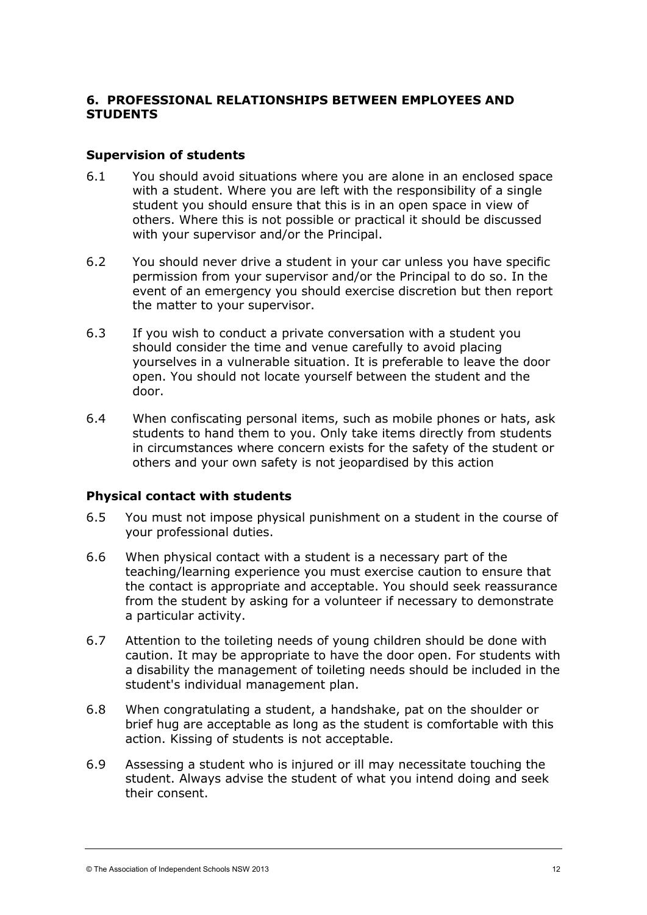# **6. PROFESSIONAL RELATIONSHIPS BETWEEN EMPLOYEES AND STUDENTS**

#### **Supervision of students**

- 6.1 You should avoid situations where you are alone in an enclosed space with a student. Where you are left with the responsibility of a single student you should ensure that this is in an open space in view of others. Where this is not possible or practical it should be discussed with your supervisor and/or the Principal.
- 6.2 You should never drive a student in your car unless you have specific permission from your supervisor and/or the Principal to do so. In the event of an emergency you should exercise discretion but then report the matter to your supervisor.
- 6.3 If you wish to conduct a private conversation with a student you should consider the time and venue carefully to avoid placing yourselves in a vulnerable situation. It is preferable to leave the door open. You should not locate yourself between the student and the door.
- 6.4 When confiscating personal items, such as mobile phones or hats, ask students to hand them to you. Only take items directly from students in circumstances where concern exists for the safety of the student or others and your own safety is not jeopardised by this action

## **Physical contact with students**

- 6.5 You must not impose physical punishment on a student in the course of your professional duties.
- 6.6 When physical contact with a student is a necessary part of the teaching/learning experience you must exercise caution to ensure that the contact is appropriate and acceptable. You should seek reassurance from the student by asking for a volunteer if necessary to demonstrate a particular activity.
- 6.7 Attention to the toileting needs of young children should be done with caution. It may be appropriate to have the door open. For students with a disability the management of toileting needs should be included in the student's individual management plan.
- 6.8 When congratulating a student, a handshake, pat on the shoulder or brief hug are acceptable as long as the student is comfortable with this action. Kissing of students is not acceptable.
- 6.9 Assessing a student who is injured or ill may necessitate touching the student. Always advise the student of what you intend doing and seek their consent.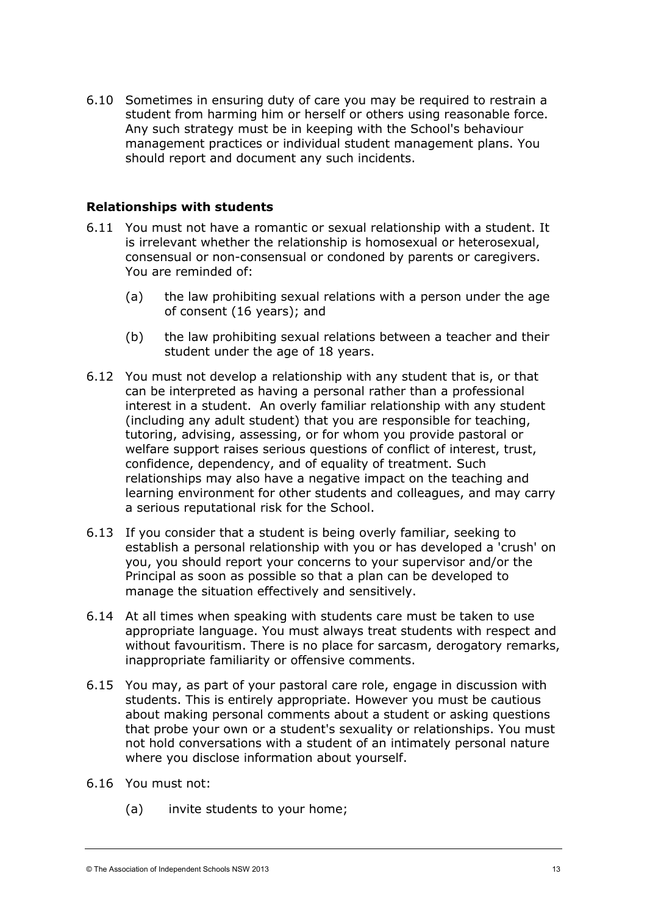6.10 Sometimes in ensuring duty of care you may be required to restrain a student from harming him or herself or others using reasonable force. Any such strategy must be in keeping with the School's behaviour management practices or individual student management plans. You should report and document any such incidents.

#### **Relationships with students**

- 6.11 You must not have a romantic or sexual relationship with a student. It is irrelevant whether the relationship is homosexual or heterosexual, consensual or non-consensual or condoned by parents or caregivers. You are reminded of:
	- (a) the law prohibiting sexual relations with a person under the age of consent (16 years); and
	- (b) the law prohibiting sexual relations between a teacher and their student under the age of 18 years.
- 6.12 You must not develop a relationship with any student that is, or that can be interpreted as having a personal rather than a professional interest in a student. An overly familiar relationship with any student (including any adult student) that you are responsible for teaching, tutoring, advising, assessing, or for whom you provide pastoral or welfare support raises serious questions of conflict of interest, trust, confidence, dependency, and of equality of treatment. Such relationships may also have a negative impact on the teaching and learning environment for other students and colleagues, and may carry a serious reputational risk for the School.
- 6.13 If you consider that a student is being overly familiar, seeking to establish a personal relationship with you or has developed a 'crush' on you, you should report your concerns to your supervisor and/or the Principal as soon as possible so that a plan can be developed to manage the situation effectively and sensitively.
- 6.14 At all times when speaking with students care must be taken to use appropriate language. You must always treat students with respect and without favouritism. There is no place for sarcasm, derogatory remarks, inappropriate familiarity or offensive comments.
- 6.15 You may, as part of your pastoral care role, engage in discussion with students. This is entirely appropriate. However you must be cautious about making personal comments about a student or asking questions that probe your own or a student's sexuality or relationships. You must not hold conversations with a student of an intimately personal nature where you disclose information about yourself.
- 6.16 You must not:
	- (a) invite students to your home;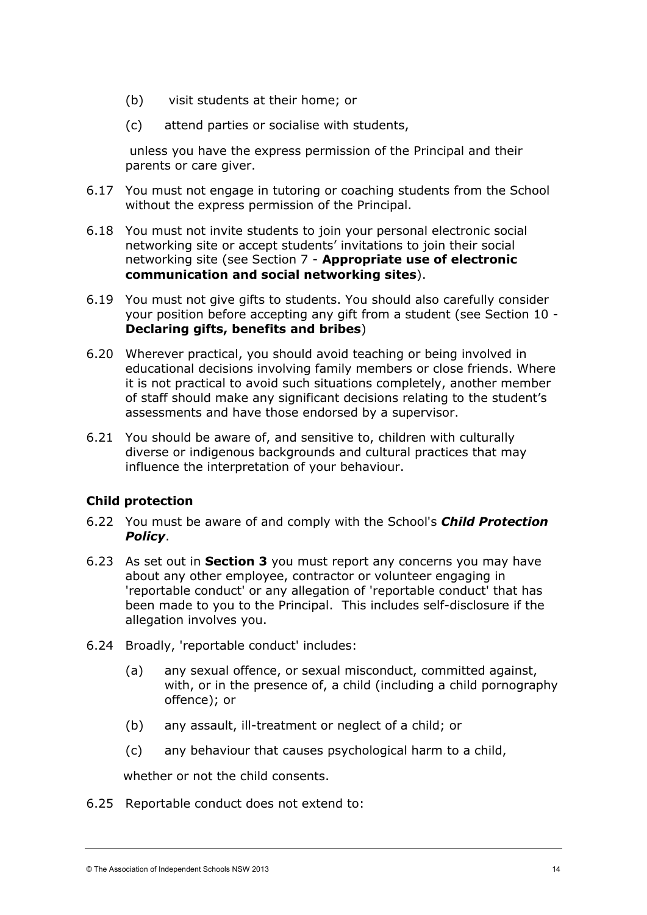- (b) visit students at their home; or
- (c) attend parties or socialise with students,

unless you have the express permission of the Principal and their parents or care giver.

- 6.17 You must not engage in tutoring or coaching students from the School without the express permission of the Principal.
- 6.18 You must not invite students to join your personal electronic social networking site or accept students' invitations to join their social networking site (see Section 7 - **Appropriate use of electronic communication and social networking sites**).
- 6.19 You must not give gifts to students. You should also carefully consider your position before accepting any gift from a student (see Section 10 - **Declaring gifts, benefits and bribes**)
- 6.20 Wherever practical, you should avoid teaching or being involved in educational decisions involving family members or close friends. Where it is not practical to avoid such situations completely, another member of staff should make any significant decisions relating to the student's assessments and have those endorsed by a supervisor.
- 6.21 You should be aware of, and sensitive to, children with culturally diverse or indigenous backgrounds and cultural practices that may influence the interpretation of your behaviour.

## **Child protection**

- 6.22 You must be aware of and comply with the School's *Child Protection Policy*.
- 6.23 As set out in **Section 3** you must report any concerns you may have about any other employee, contractor or volunteer engaging in 'reportable conduct' or any allegation of 'reportable conduct' that has been made to you to the Principal. This includes self-disclosure if the allegation involves you.
- 6.24 Broadly, 'reportable conduct' includes:
	- (a) any sexual offence, or sexual misconduct, committed against, with, or in the presence of, a child (including a child pornography offence); or
	- (b) any assault, ill-treatment or neglect of a child; or
	- (c) any behaviour that causes psychological harm to a child,

whether or not the child consents.

6.25 Reportable conduct does not extend to: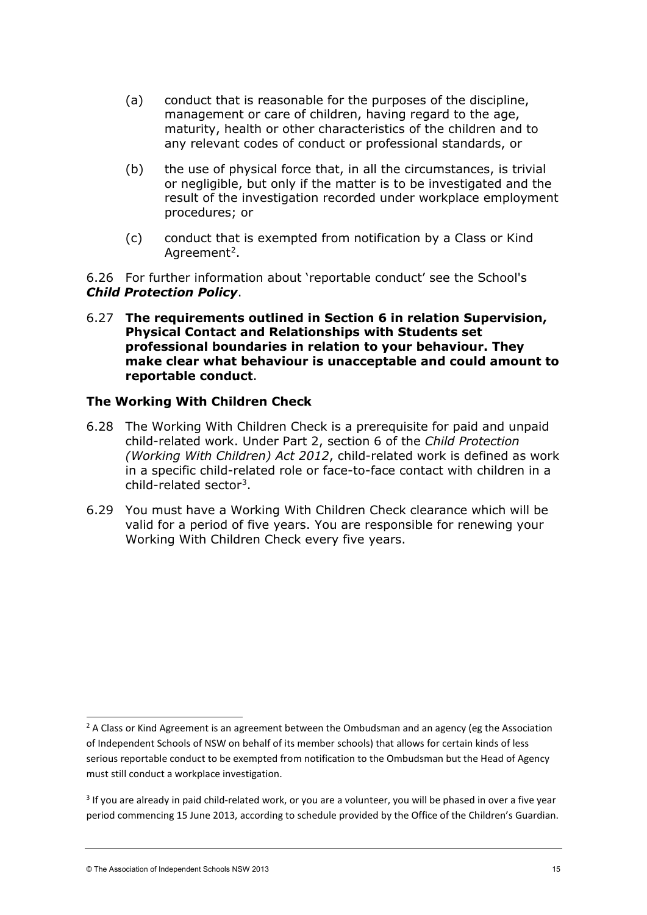- (a) conduct that is reasonable for the purposes of the discipline, management or care of children, having regard to the age, maturity, health or other characteristics of the children and to any relevant codes of conduct or professional standards, or
- (b) the use of physical force that, in all the circumstances, is trivial or negligible, but only if the matter is to be investigated and the result of the investigation recorded under workplace employment procedures; or
- (c) conduct that is exempted from notification by a Class or Kind Agreement<sup>[2](#page-13-0)</sup>.

6.26 For further information about 'reportable conduct' see the School's *Child Protection Policy*.

6.27 **The requirements outlined in Section 6 in relation Supervision, Physical Contact and Relationships with Students set professional boundaries in relation to your behaviour. They make clear what behaviour is unacceptable and could amount to reportable conduct**.

#### **The Working With Children Check**

- 6.28 The Working With Children Check is a prerequisite for paid and unpaid child-related work. Under Part 2, section 6 of the *Child Protection (Working With Children) Act 2012*, child-related work is defined as work in a specific child-related role or face-to-face contact with children in a child-related sector[3](#page-13-1).
- 6.29 You must have a Working With Children Check clearance which will be valid for a period of five years. You are responsible for renewing your Working With Children Check every five years.

<span id="page-13-0"></span> $<sup>2</sup>$  A Class or Kind Agreement is an agreement between the Ombudsman and an agency (eg the Association</sup> of Independent Schools of NSW on behalf of its member schools) that allows for certain kinds of less serious reportable conduct to be exempted from notification to the Ombudsman but the Head of Agency must still conduct a workplace investigation.

<span id="page-13-1"></span><sup>&</sup>lt;sup>3</sup> If you are already in paid child-related work, or you are a volunteer, you will be phased in over a five year period commencing 15 June 2013, according to schedule provided by the Office of the Children's Guardian.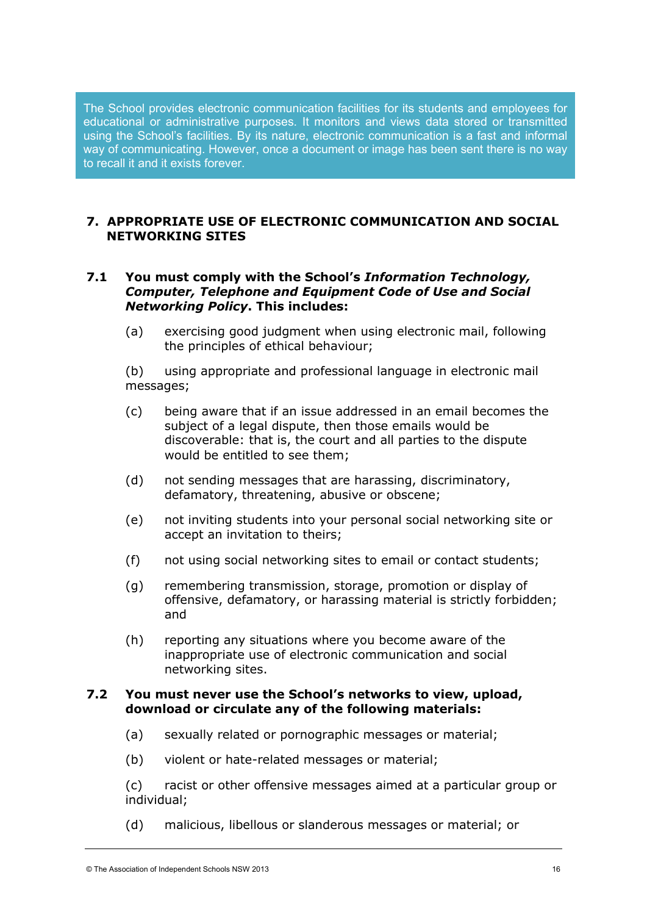The School provides electronic communication facilities for its students and employees for educational or administrative purposes. It monitors and views data stored or transmitted using the School's facilities. By its nature, electronic communication is a fast and informal way of communicating. However, once a document or image has been sent there is no way to recall it and it exists forever.

## **7. APPROPRIATE USE OF ELECTRONIC COMMUNICATION AND SOCIAL NETWORKING SITES**

## **7.1 You must comply with the School's** *Information Technology, Computer, Telephone and Equipment Code of Use and Social Networking Policy***. This includes:**

(a) exercising good judgment when using electronic mail, following the principles of ethical behaviour;

(b) using appropriate and professional language in electronic mail messages;

- (c) being aware that if an issue addressed in an email becomes the subject of a legal dispute, then those emails would be discoverable: that is, the court and all parties to the dispute would be entitled to see them;
- (d) not sending messages that are harassing, discriminatory, defamatory, threatening, abusive or obscene;
- (e) not inviting students into your personal social networking site or accept an invitation to theirs;
- (f) not using social networking sites to email or contact students;
- (g) remembering transmission, storage, promotion or display of offensive, defamatory, or harassing material is strictly forbidden; and
- (h) reporting any situations where you become aware of the inappropriate use of electronic communication and social networking sites.

#### **7.2 You must never use the School's networks to view, upload, download or circulate any of the following materials:**

- (a) sexually related or pornographic messages or material;
- (b) violent or hate-related messages or material;

(c) racist or other offensive messages aimed at a particular group or individual;

(d) malicious, libellous or slanderous messages or material; or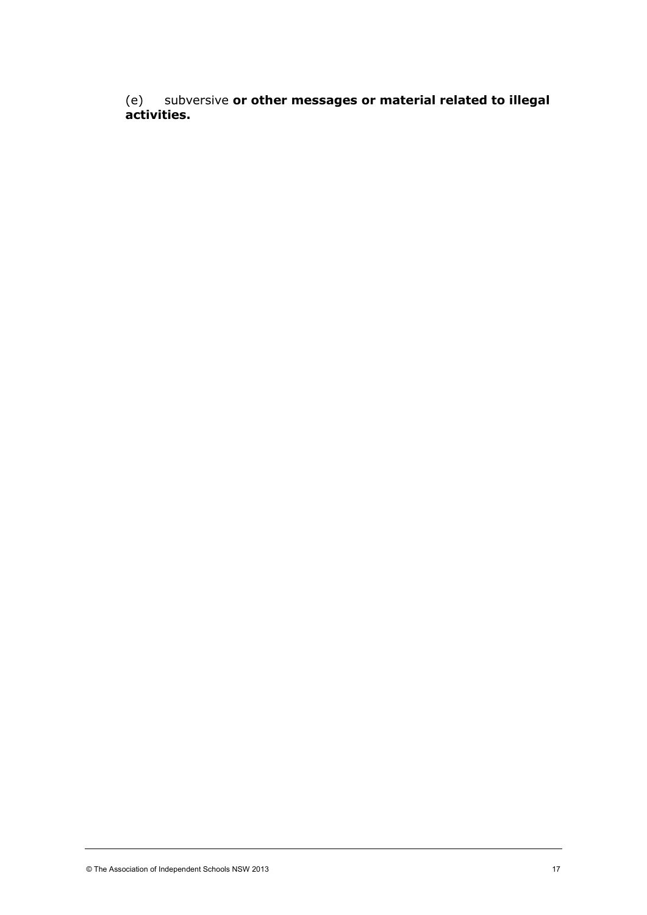(e) subversive **or other messages or material related to illegal activities.**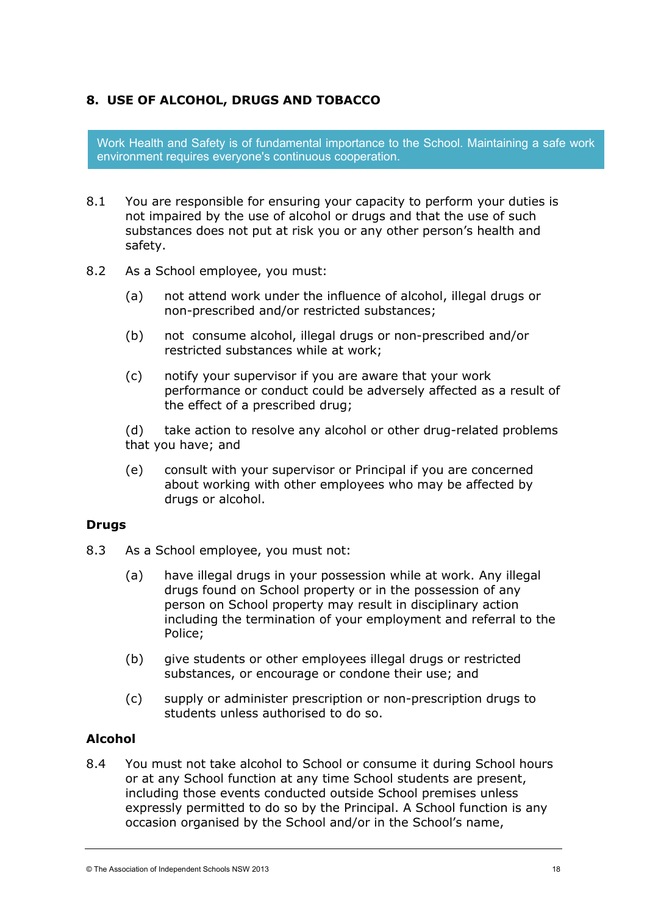# **8. USE OF ALCOHOL, DRUGS AND TOBACCO**

Work Health and Safety is of fundamental importance to the School. Maintaining a safe work environment requires everyone's continuous cooperation.

- 8.1 You are responsible for ensuring your capacity to perform your duties is not impaired by the use of alcohol or drugs and that the use of such substances does not put at risk you or any other person's health and safety.
- 8.2 As a School employee, you must:
	- (a) not attend work under the influence of alcohol, illegal drugs or non-prescribed and/or restricted substances;
	- (b) not consume alcohol, illegal drugs or non-prescribed and/or restricted substances while at work;
	- (c) notify your supervisor if you are aware that your work performance or conduct could be adversely affected as a result of the effect of a prescribed drug;

(d) take action to resolve any alcohol or other drug-related problems that you have; and

(e) consult with your supervisor or Principal if you are concerned about working with other employees who may be affected by drugs or alcohol.

## **Drugs**

- 8.3 As a School employee, you must not:
	- (a) have illegal drugs in your possession while at work. Any illegal drugs found on School property or in the possession of any person on School property may result in disciplinary action including the termination of your employment and referral to the Police;
	- (b) give students or other employees illegal drugs or restricted substances, or encourage or condone their use; and
	- (c) supply or administer prescription or non-prescription drugs to students unless authorised to do so.

## **Alcohol**

8.4 You must not take alcohol to School or consume it during School hours or at any School function at any time School students are present, including those events conducted outside School premises unless expressly permitted to do so by the Principal. A School function is any occasion organised by the School and/or in the School's name,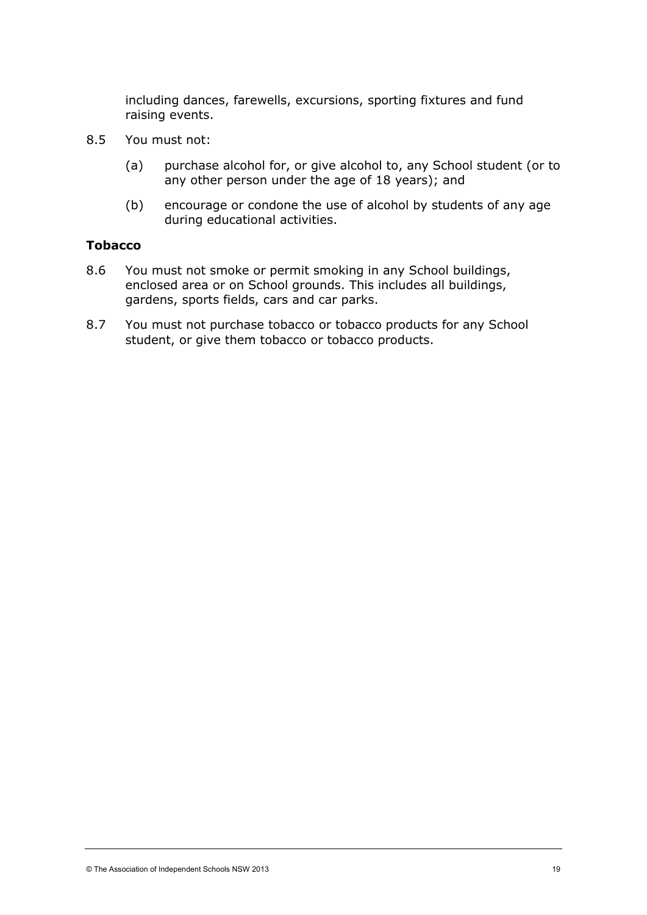including dances, farewells, excursions, sporting fixtures and fund raising events.

- 8.5 You must not:
	- (a) purchase alcohol for, or give alcohol to, any School student (or to any other person under the age of 18 years); and
	- (b) encourage or condone the use of alcohol by students of any age during educational activities.

#### **Tobacco**

- 8.6 You must not smoke or permit smoking in any School buildings, enclosed area or on School grounds. This includes all buildings, gardens, sports fields, cars and car parks.
- 8.7 You must not purchase tobacco or tobacco products for any School student, or give them tobacco or tobacco products.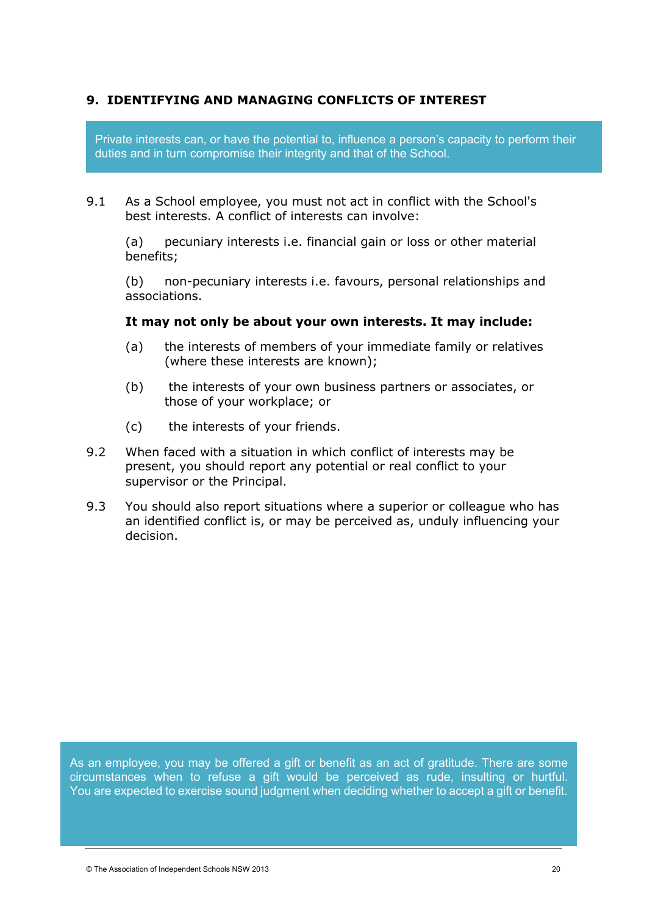# **9. IDENTIFYING AND MANAGING CONFLICTS OF INTEREST**

Private interests can, or have the potential to, influence a person's capacity to perform their duties and in turn compromise their integrity and that of the School.

9.1 As a School employee, you must not act in conflict with the School's best interests. A conflict of interests can involve:

(a) pecuniary interests i.e. financial gain or loss or other material benefits;

(b) non-pecuniary interests i.e. favours, personal relationships and associations.

#### **It may not only be about your own interests. It may include:**

- (a) the interests of members of your immediate family or relatives (where these interests are known);
- (b) the interests of your own business partners or associates, or those of your workplace; or
- (c) the interests of your friends.
- 9.2 When faced with a situation in which conflict of interests may be present, you should report any potential or real conflict to your supervisor or the Principal.
- 9.3 You should also report situations where a superior or colleague who has an identified conflict is, or may be perceived as, unduly influencing your decision.

As an employee, you may be offered a gift or benefit as an act of gratitude. There are some circumstances when to refuse a gift would be perceived as rude, insulting or hurtful. You are expected to exercise sound judgment when deciding whether to accept a gift or benefit.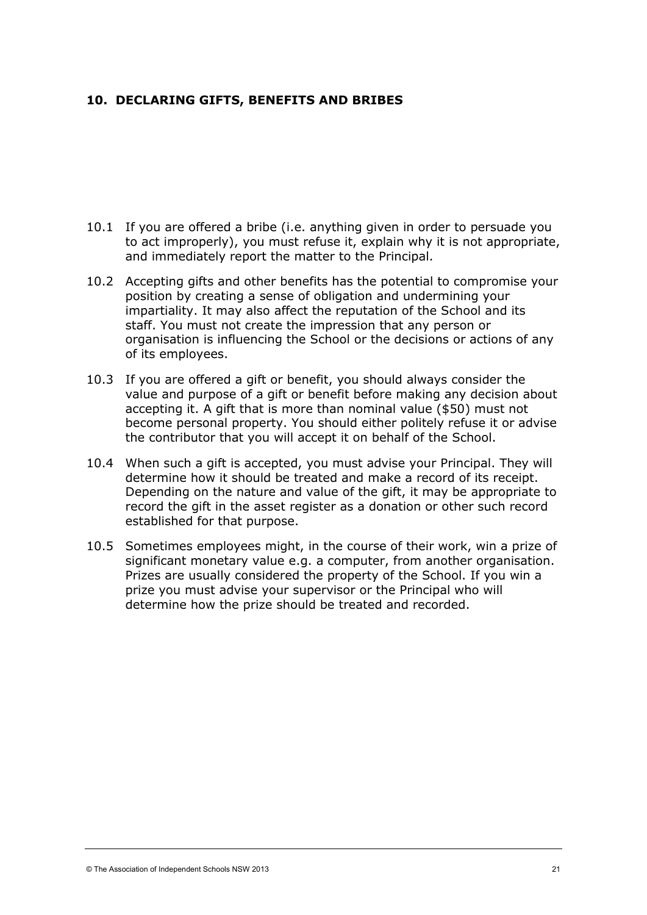## **10. DECLARING GIFTS, BENEFITS AND BRIBES**

- 10.1 If you are offered a bribe (i.e. anything given in order to persuade you to act improperly), you must refuse it, explain why it is not appropriate, and immediately report the matter to the Principal.
- 10.2 Accepting gifts and other benefits has the potential to compromise your position by creating a sense of obligation and undermining your impartiality. It may also affect the reputation of the School and its staff. You must not create the impression that any person or organisation is influencing the School or the decisions or actions of any of its employees.
- 10.3 If you are offered a gift or benefit, you should always consider the value and purpose of a gift or benefit before making any decision about accepting it. A gift that is more than nominal value (\$50) must not become personal property. You should either politely refuse it or advise the contributor that you will accept it on behalf of the School.
- 10.4 When such a gift is accepted, you must advise your Principal. They will determine how it should be treated and make a record of its receipt. Depending on the nature and value of the gift, it may be appropriate to record the gift in the asset register as a donation or other such record established for that purpose.
- 10.5 Sometimes employees might, in the course of their work, win a prize of significant monetary value e.g. a computer, from another organisation. Prizes are usually considered the property of the School. If you win a prize you must advise your supervisor or the Principal who will determine how the prize should be treated and recorded.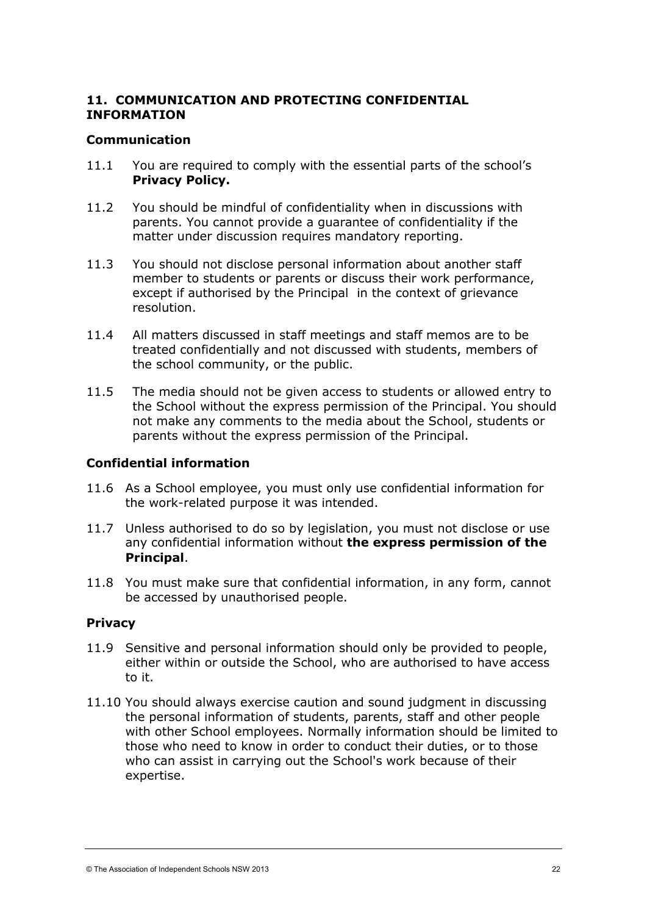# **11. COMMUNICATION AND PROTECTING CONFIDENTIAL INFORMATION**

#### **Communication**

- 11.1 You are required to comply with the essential parts of the school's **Privacy Policy.**
- 11.2 You should be mindful of confidentiality when in discussions with parents. You cannot provide a guarantee of confidentiality if the matter under discussion requires mandatory reporting.
- 11.3 You should not disclose personal information about another staff member to students or parents or discuss their work performance, except if authorised by the Principal in the context of grievance resolution.
- 11.4 All matters discussed in staff meetings and staff memos are to be treated confidentially and not discussed with students, members of the school community, or the public.
- 11.5 The media should not be given access to students or allowed entry to the School without the express permission of the Principal. You should not make any comments to the media about the School, students or parents without the express permission of the Principal.

## **Confidential information**

- 11.6 As a School employee, you must only use confidential information for the work-related purpose it was intended.
- 11.7 Unless authorised to do so by legislation, you must not disclose or use any confidential information without **the express permission of the Principal**.
- 11.8 You must make sure that confidential information, in any form, cannot be accessed by unauthorised people.

## **Privacy**

- 11.9 Sensitive and personal information should only be provided to people, either within or outside the School, who are authorised to have access to it.
- 11.10 You should always exercise caution and sound judgment in discussing the personal information of students, parents, staff and other people with other School employees. Normally information should be limited to those who need to know in order to conduct their duties, or to those who can assist in carrying out the School's work because of their expertise.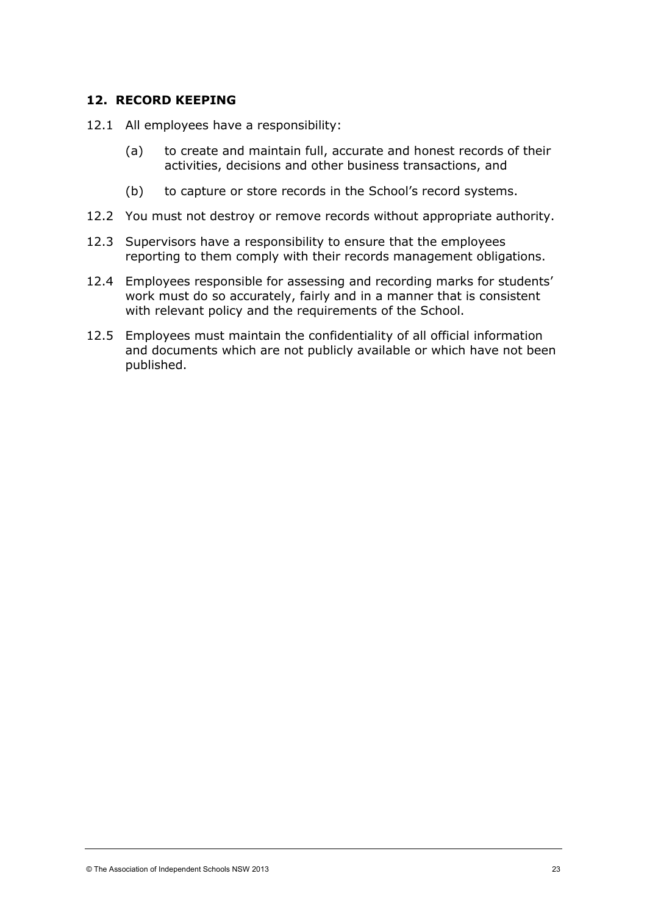#### **12. RECORD KEEPING**

- 12.1 All employees have a responsibility:
	- (a) to create and maintain full, accurate and honest records of their activities, decisions and other business transactions, and
	- (b) to capture or store records in the School's record systems.
- 12.2 You must not destroy or remove records without appropriate authority.
- 12.3 Supervisors have a responsibility to ensure that the employees reporting to them comply with their records management obligations.
- 12.4 Employees responsible for assessing and recording marks for students' work must do so accurately, fairly and in a manner that is consistent with relevant policy and the requirements of the School.
- 12.5 Employees must maintain the confidentiality of all official information and documents which are not publicly available or which have not been published.